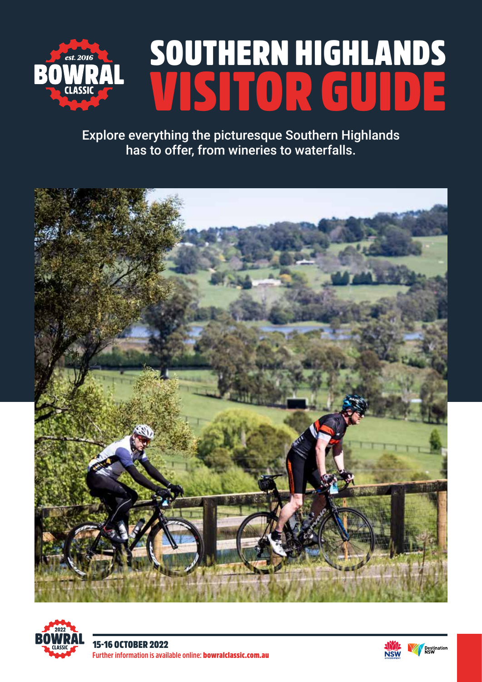

# SOUTHERN HIGHLANDS LETOR.

Explore everything the picturesque Southern Highlands has to offer, from wineries to waterfalls.





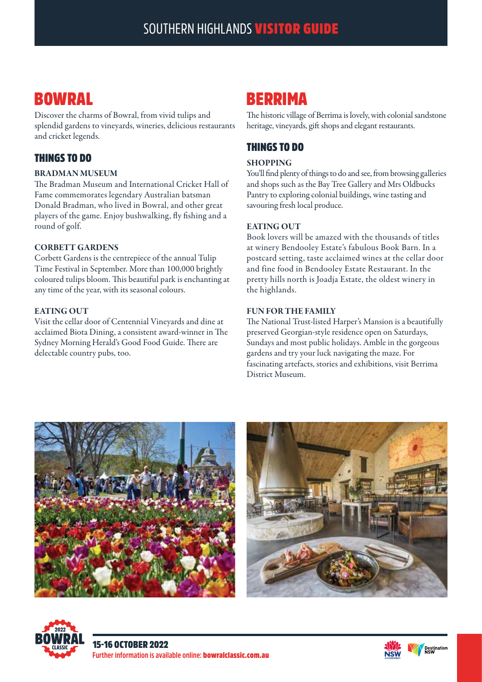# BOWRAL

Discover the charms of Bowral, from vivid tulips and splendid gardens to vineyards, wineries, delicious restaurants and cricket legends.

## THINGS TO DO

#### BRADMAN MUSEUM

The Bradman Museum and International Cricket Hall of Fame commemorates legendary Australian batsman Donald Bradman, who lived in Bowral, and other great players of the game. Enjoy bushwalking, fly fishing and a round of golf.

#### CORBETT GARDENS

Corbett Gardens is the centrepiece of the annual Tulip Time Festival in September. More than 100,000 brightly coloured tulips bloom. This beautiful park is enchanting at any time of the year, with its seasonal colours.

#### EATING OUT

Visit the cellar door of Centennial Vineyards and dine at acclaimed Biota Dining, a consistent award-winner in The Sydney Morning Herald's Good Food Guide. There are delectable country pubs, too.

## BERRIMA

The historic village of Berrima is lovely, with colonial sandstone heritage, vineyards, gift shops and elegant restaurants.

## THINGS TO DO

#### SHOPPING

You'll find plenty of things to do and see, from browsing galleries and shops such as the Bay Tree Gallery and Mrs Oldbucks Pantry to exploring colonial buildings, wine tasting and savouring fresh local produce.

#### EATING OUT

Book lovers will be amazed with the thousands of titles at winery Bendooley Estate's fabulous Book Barn. In a postcard setting, taste acclaimed wines at the cellar door and fine food in Bendooley Estate Restaurant. In the pretty hills north is Joadja Estate, the oldest winery in the highlands.

#### FUN FOR THE FAMILY

The National Trust-listed Harper's Mansion is a beautifully preserved Georgian-style residence open on Saturdays, Sundays and most public holidays. Amble in the gorgeous gardens and try your luck navigating the maze. For fascinating artefacts, stories and exhibitions, visit Berrima District Museum.







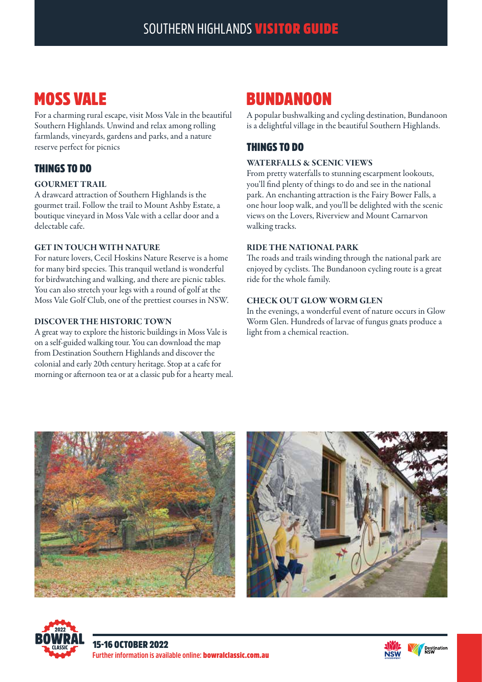# MOSS VALE

For a charming rural escape, visit Moss Vale in the beautiful Southern Highlands. Unwind and relax among rolling farmlands, vineyards, gardens and parks, and a nature reserve perfect for picnics

## THINGS TO DO

#### GOURMET TRAIL

A drawcard attraction of Southern Highlands is the gourmet trail. Follow the trail to Mount Ashby Estate, a boutique vineyard in Moss Vale with a cellar door and a delectable cafe.

### GET IN TOUCH WITH NATURE

For nature lovers, Cecil Hoskins Nature Reserve is a home for many bird species. This tranquil wetland is wonderful for birdwatching and walking, and there are picnic tables. You can also stretch your legs with a round of golf at the Moss Vale Golf Club, one of the prettiest courses in NSW.

#### DISCOVER THE HISTORIC TOWN

A great way to explore the historic buildings in Moss Vale is on a self-guided walking tour. You can download the map from Destination Southern Highlands and discover the colonial and early 20th century heritage. Stop at a cafe for morning or afternoon tea or at a classic pub for a hearty meal.

# **BUNDANOON**

A popular bushwalking and cycling destination, Bundanoon is a delightful village in the beautiful Southern Highlands.

## THINGS TO DO

#### WATERFALLS & SCENIC VIEWS

From pretty waterfalls to stunning escarpment lookouts, you'll find plenty of things to do and see in the national park. An enchanting attraction is the Fairy Bower Falls, a one hour loop walk, and you'll be delighted with the scenic views on the Lovers, Riverview and Mount Carnarvon walking tracks.

#### RIDE THE NATIONAL PARK

The roads and trails winding through the national park are enjoyed by cyclists. The Bundanoon cycling route is a great ride for the whole family.

#### CHECK OUT GLOW WORM GLEN

In the evenings, a wonderful event of nature occurs in Glow Worm Glen. Hundreds of larvae of fungus gnats produce a light from a chemical reaction.







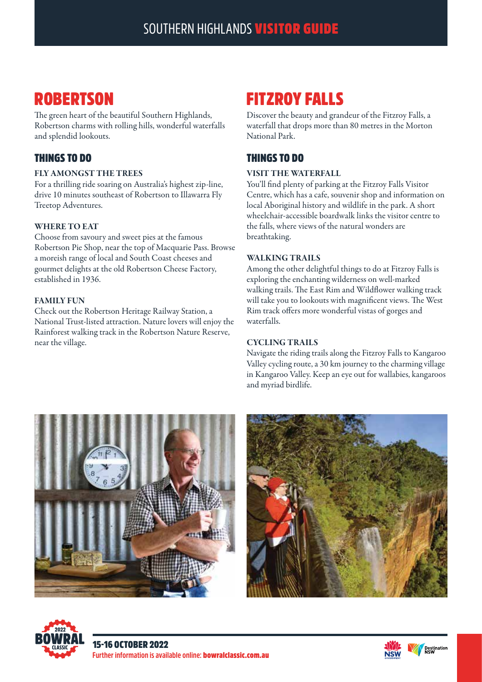# **ROBERTSON**

The green heart of the beautiful Southern Highlands, Robertson charms with rolling hills, wonderful waterfalls and splendid lookouts.

## THINGS TO DO

#### FLY AMONGST THE TREES

For a thrilling ride soaring on Australia's highest zip-line, drive 10 minutes southeast of Robertson to Illawarra Fly Treetop Adventures.

#### WHERE TO EAT

Choose from savoury and sweet pies at the famous Robertson Pie Shop, near the top of Macquarie Pass. Browse a moreish range of local and South Coast cheeses and gourmet delights at the old Robertson Cheese Factory, established in 1936.

#### FAMILY FUN

Check out the Robertson Heritage Railway Station, a National Trust-listed attraction. Nature lovers will enjoy the Rainforest walking track in the Robertson Nature Reserve, near the village.

# FITZROY FALLS

Discover the beauty and grandeur of the Fitzroy Falls, a waterfall that drops more than 80 metres in the Morton National Park.

## THINGS TO DO

#### VISIT THE WATERFALL

You'll find plenty of parking at the Fitzroy Falls Visitor Centre, which has a cafe, souvenir shop and information on local Aboriginal history and wildlife in the park. A short wheelchair-accessible boardwalk links the visitor centre to the falls, where views of the natural wonders are breathtaking.

#### WALKING TRAILS

Among the other delightful things to do at Fitzroy Falls is exploring the enchanting wilderness on well-marked walking trails. The East Rim and Wildflower walking track will take you to lookouts with magnificent views. The West Rim track offers more wonderful vistas of gorges and waterfalls.

#### CYCLING TRAILS

Navigate the riding trails along the Fitzroy Falls to Kangaroo Valley cycling route, a 30 km journey to the charming village in Kangaroo Valley. Keep an eye out for wallabies, kangaroos and myriad birdlife.